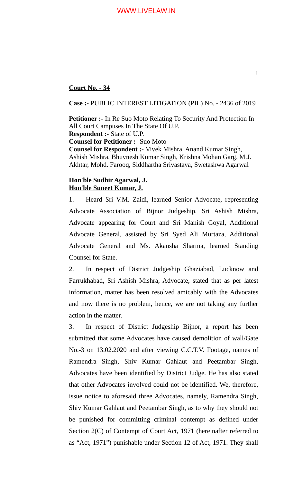## **Court No. - 34**

**Case :-** PUBLIC INTEREST LITIGATION (PIL) No. - 2436 of 2019

**Petitioner :-** In Re Suo Moto Relating To Security And Protection In All Court Campuses In The State Of U.P. **Respondent :-** State of U.P. **Counsel for Petitioner :-** Suo Moto **Counsel for Respondent :-** Vivek Mishra, Anand Kumar Singh, Ashish Mishra, Bhuvnesh Kumar Singh, Krishna Mohan Garg, M.J. Akhtar, Mohd. Farooq, Siddhartha Srivastava, Swetashwa Agarwal

## **Hon'ble Sudhir Agarwal, J. Hon'ble Suneet Kumar, J.**

1. Heard Sri V.M. Zaidi, learned Senior Advocate, representing Advocate Association of Bijnor Judgeship, Sri Ashish Mishra, Advocate appearing for Court and Sri Manish Goyal, Additional Advocate General, assisted by Sri Syed Ali Murtaza, Additional Advocate General and Ms. Akansha Sharma, learned Standing Counsel for State.

2. In respect of District Judgeship Ghaziabad, Lucknow and Farrukhabad, Sri Ashish Mishra, Advocate, stated that as per latest information, matter has been resolved amicably with the Advocates and now there is no problem, hence, we are not taking any further action in the matter.

3. In respect of District Judgeship Bijnor, a report has been submitted that some Advocates have caused demolition of wall/Gate No.-3 on 13.02.2020 and after viewing C.C.T.V. Footage, names of Ramendra Singh, Shiv Kumar Gahlaut and Peetambar Singh, Advocates have been identified by District Judge. He has also stated that other Advocates involved could not be identified. We, therefore, issue notice to aforesaid three Advocates, namely, Ramendra Singh, Shiv Kumar Gahlaut and Peetambar Singh, as to why they should not be punished for committing criminal contempt as defined under Section 2(C) of Contempt of Court Act, 1971 (hereinafter referred to as "Act, 1971") punishable under Section 12 of Act, 1971. They shall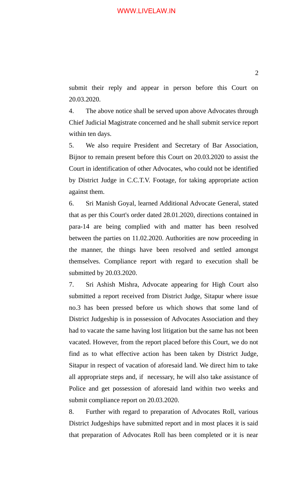## WWW.LIVELAW.IN

submit their reply and appear in person before this Court on 20.03.2020.

4. The above notice shall be served upon above Advocates through Chief Judicial Magistrate concerned and he shall submit service report within ten days.

5. We also require President and Secretary of Bar Association, Bijnor to remain present before this Court on 20.03.2020 to assist the Court in identification of other Advocates, who could not be identified by District Judge in C.C.T.V. Footage, for taking appropriate action against them.

6. Sri Manish Goyal, learned Additional Advocate General, stated that as per this Court's order dated 28.01.2020, directions contained in para-14 are being complied with and matter has been resolved between the parties on 11.02.2020. Authorities are now proceeding in the manner, the things have been resolved and settled amongst themselves. Compliance report with regard to execution shall be submitted by 20.03.2020.

7. Sri Ashish Mishra, Advocate appearing for High Court also submitted a report received from District Judge, Sitapur where issue no.3 has been pressed before us which shows that some land of District Judgeship is in possession of Advocates Association and they had to vacate the same having lost litigation but the same has not been vacated. However, from the report placed before this Court, we do not find as to what effective action has been taken by District Judge, Sitapur in respect of vacation of aforesaid land. We direct him to take all appropriate steps and, if necessary, he will also take assistance of Police and get possession of aforesaid land within two weeks and submit compliance report on 20.03.2020.

8. Further with regard to preparation of Advocates Roll, various District Judgeships have submitted report and in most places it is said that preparation of Advocates Roll has been completed or it is near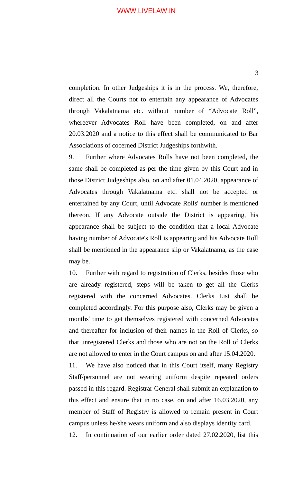completion. In other Judgeships it is in the process. We, therefore, direct all the Courts not to entertain any appearance of Advocates through Vakalatnama etc. without number of "Advocate Roll", whereever Advocates Roll have been completed, on and after 20.03.2020 and a notice to this effect shall be communicated to Bar Associations of cocerned District Judgeships forthwith.

9. Further where Advocates Rolls have not been completed, the same shall be completed as per the time given by this Court and in those District Judgeships also, on and after 01.04.2020, appearance of Advocates through Vakalatnama etc. shall not be accepted or entertained by any Court, until Advocate Rolls' number is mentioned thereon. If any Advocate outside the District is appearing, his appearance shall be subject to the condition that a local Advocate having number of Advocate's Roll is appearing and his Advocate Roll shall be mentioned in the appearance slip or Vakalatnama, as the case may be.

10. Further with regard to registration of Clerks, besides those who are already registered, steps will be taken to get all the Clerks registered with the concerned Advocates. Clerks List shall be completed accordingly. For this purpose also, Clerks may be given a months' time to get themselves registered with concerned Advocates and thereafter for inclusion of their names in the Roll of Clerks, so that unregistered Clerks and those who are not on the Roll of Clerks are not allowed to enter in the Court campus on and after 15.04.2020.

11. We have also noticed that in this Court itself, many Registry Staff/personnel are not wearing uniform despite repeated orders passed in this regard. Registrar General shall submit an explanation to this effect and ensure that in no case, on and after 16.03.2020, any member of Staff of Registry is allowed to remain present in Court campus unless he/she wears uniform and also displays identity card.

12. In continuation of our earlier order dated 27.02.2020, list this

3